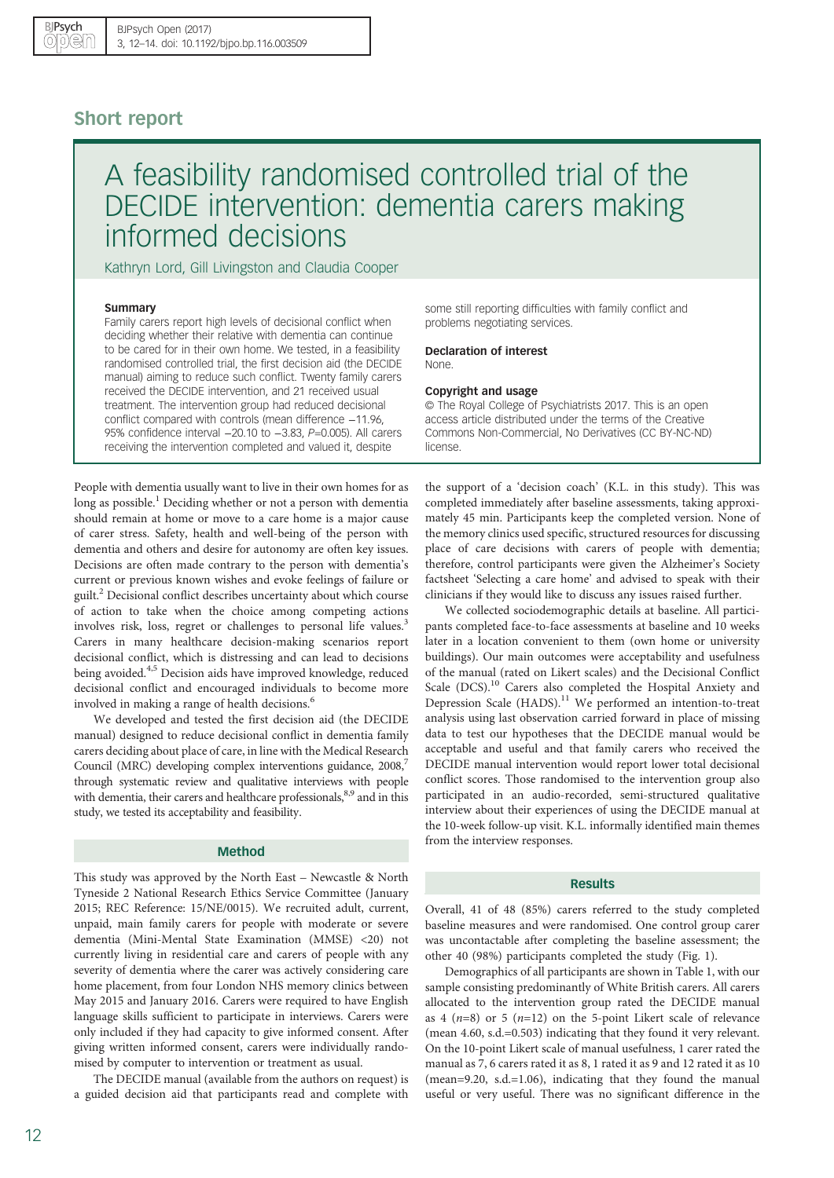# Short report

# A feasibility randomised controlled trial of the DECIDE intervention: dementia carers making informed decisions

Kathryn Lord, Gill Livingston and Claudia Cooper

### Summary

Family carers report high levels of decisional conflict when deciding whether their relative with dementia can continue to be cared for in their own home. We tested, in a feasibility randomised controlled trial, the first decision aid (the DECIDE manual) aiming to reduce such conflict. Twenty family carers received the DECIDE intervention, and 21 received usual treatment. The intervention group had reduced decisional conflict compared with controls (mean difference −11.96, 95% confidence interval −20.10 to −3.83, P=0.005). All carers receiving the intervention completed and valued it, despite

People with dementia usually want to live in their own homes for as long as possible.<sup>[1](#page-2-0)</sup> Deciding whether or not a person with dementia should remain at home or move to a care home is a major cause of carer stress. Safety, health and well-being of the person with dementia and others and desire for autonomy are often key issues. Decisions are often made contrary to the person with dementia's current or previous known wishes and evoke feelings of failure or guilt.<sup>[2](#page-2-0)</sup> Decisional conflict describes uncertainty about which course of action to take when the choice among competing actions involves risk, loss, regret or challenges to personal life values.<sup>[3](#page-2-0)</sup> Carers in many healthcare decision-making scenarios report decisional conflict, which is distressing and can lead to decisions being avoided.<sup>[4,5](#page-2-0)</sup> Decision aids have improved knowledge, reduced decisional conflict and encouraged individuals to become more involved in making a range of health decisions.<sup>[6](#page-2-0)</sup>

We developed and tested the first decision aid (the DECIDE manual) designed to reduce decisional conflict in dementia family carers deciding about place of care, in line with the Medical Research Council (MRC) developing complex interventions guidance, 2008,<sup>7</sup> through systematic review and qualitative interviews with people with dementia, their carers and healthcare professionals,<sup>[8,9](#page-2-0)</sup> and in this study, we tested its acceptability and feasibility.

## Method

This study was approved by the North East – Newcastle & North Tyneside 2 National Research Ethics Service Committee (January 2015; REC Reference: 15/NE/0015). We recruited adult, current, unpaid, main family carers for people with moderate or severe dementia (Mini-Mental State Examination (MMSE) <20) not currently living in residential care and carers of people with any severity of dementia where the carer was actively considering care home placement, from four London NHS memory clinics between May 2015 and January 2016. Carers were required to have English language skills sufficient to participate in interviews. Carers were only included if they had capacity to give informed consent. After giving written informed consent, carers were individually randomised by computer to intervention or treatment as usual.

The DECIDE manual (available from the authors on request) is a guided decision aid that participants read and complete with

some still reporting difficulties with family conflict and problems negotiating services.

Declaration of interest None.

#### Copyright and usage

© The Royal College of Psychiatrists 2017. This is an open access article distributed under the terms of the Creative Commons Non-Commercial, No Derivatives (CC BY-NC-ND) license.

the support of a 'decision coach' (K.L. in this study). This was completed immediately after baseline assessments, taking approximately 45 min. Participants keep the completed version. None of the memory clinics used specific, structured resources for discussing place of care decisions with carers of people with dementia; therefore, control participants were given the Alzheimer's Society factsheet 'Selecting a care home' and advised to speak with their clinicians if they would like to discuss any issues raised further.

We collected sociodemographic details at baseline. All participants completed face-to-face assessments at baseline and 10 weeks later in a location convenient to them (own home or university buildings). Our main outcomes were acceptability and usefulness of the manual (rated on Likert scales) and the Decisional Conflict Scale (DCS).<sup>10</sup> Carers also completed the Hospital Anxiety and Depression Scale (HADS).<sup>[11](#page-2-0)</sup> We performed an intention-to-treat analysis using last observation carried forward in place of missing data to test our hypotheses that the DECIDE manual would be acceptable and useful and that family carers who received the DECIDE manual intervention would report lower total decisional conflict scores. Those randomised to the intervention group also participated in an audio-recorded, semi-structured qualitative interview about their experiences of using the DECIDE manual at the 10-week follow-up visit. K.L. informally identified main themes from the interview responses.

#### Results

Overall, 41 of 48 (85%) carers referred to the study completed baseline measures and were randomised. One control group carer was uncontactable after completing the baseline assessment; the other 40 (98%) participants completed the study ([Fig. 1](#page-1-0)).

Demographics of all participants are shown in [Table 1](#page-1-0), with our sample consisting predominantly of White British carers. All carers allocated to the intervention group rated the DECIDE manual as 4 ( $n=8$ ) or 5 ( $n=12$ ) on the 5-point Likert scale of relevance (mean 4.60, s.d.=0.503) indicating that they found it very relevant. On the 10-point Likert scale of manual usefulness, 1 carer rated the manual as 7, 6 carers rated it as 8, 1 rated it as 9 and 12 rated it as 10 (mean=9.20, s.d.=1.06), indicating that they found the manual useful or very useful. There was no significant difference in the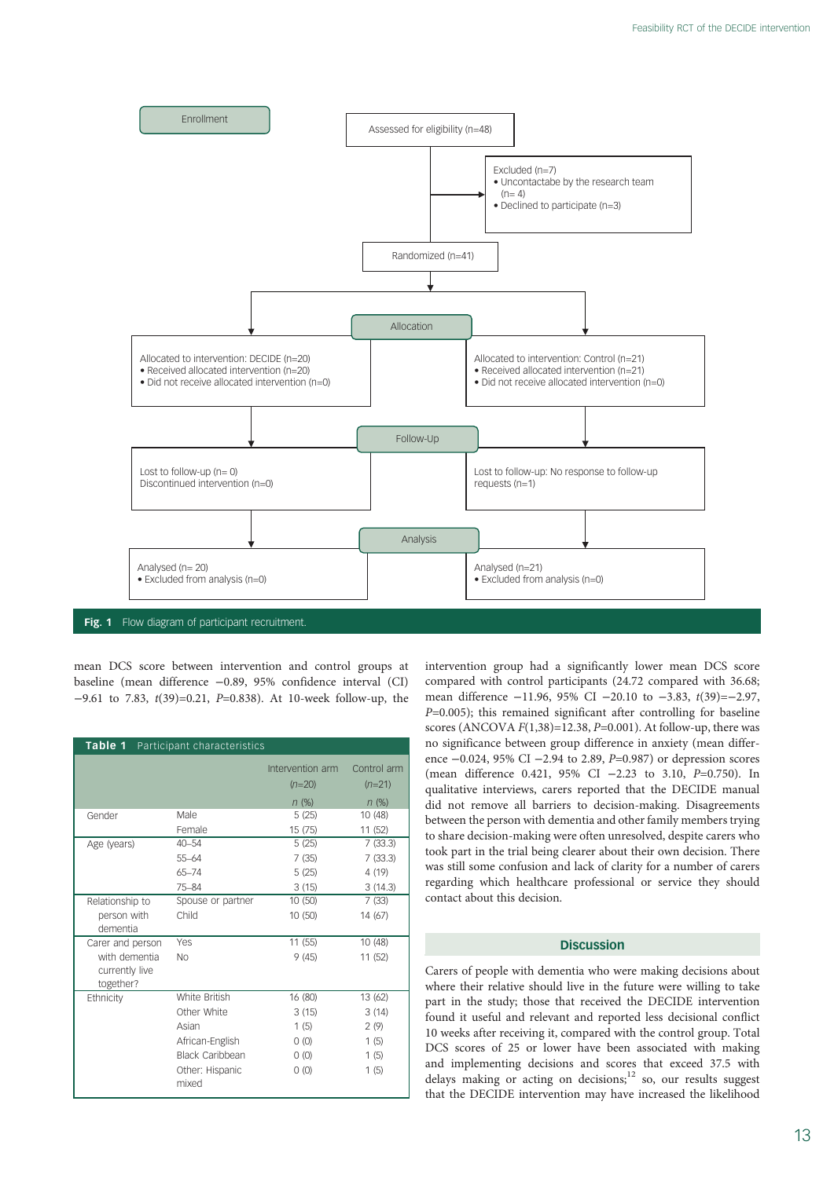<span id="page-1-0"></span>

mean DCS score between intervention and control groups at baseline (mean difference −0.89, 95% confidence interval (CI) −9.61 to 7.83, t(39)=0.21, P=0.838). At 10-week follow-up, the

| Table 1 Participant characteristics                              |                          |                              |                         |
|------------------------------------------------------------------|--------------------------|------------------------------|-------------------------|
|                                                                  |                          | Intervention arm<br>$(n=20)$ | Control arm<br>$(n=21)$ |
|                                                                  |                          | $n$ (%)                      | $n$ (%)                 |
| Gender                                                           | Male                     | 5(25)                        | 10 (48)                 |
|                                                                  | Female                   | 15(75)                       | 11 (52)                 |
| Age (years)                                                      | $40 - 54$                | 5(25)                        | 7(33.3)                 |
|                                                                  | 55-64                    | 7(35)                        | 7(33.3)                 |
|                                                                  | $65 - 74$                | 5(25)                        | 4 (19)                  |
|                                                                  | 75-84                    | 3(15)                        | 3(14.3)                 |
| Relationship to<br>person with<br>dementia                       | Spouse or partner        | 10(50)                       | 7(33)                   |
|                                                                  | Child                    | 10 (50)                      | 14 (67)                 |
| Carer and person<br>with dementia<br>currently live<br>together? | Yes                      | 11(55)                       | 10 (48)                 |
|                                                                  | <b>No</b>                | 9(45)                        | 11 (52)                 |
| Ethnicity                                                        | White British            | 16 (80)                      | 13 (62)                 |
|                                                                  | Other White              | 3(15)                        | 3(14)                   |
|                                                                  | Asian                    | 1(5)                         | 2(9)                    |
|                                                                  | African-English          | 0(0)                         | 1(5)                    |
|                                                                  | Black Caribbean          | 0(0)                         | 1(5)                    |
|                                                                  | Other: Hispanic<br>mixed | 0(0)                         | 1(5)                    |

intervention group had a significantly lower mean DCS score compared with control participants (24.72 compared with 36.68; mean difference −11.96, 95% CI −20.10 to −3.83, t(39)=−2.97,  $P=0.005$ ); this remained significant after controlling for baseline scores (ANCOVA  $F(1,38) = 12.38$ ,  $P=0.001$ ). At follow-up, there was no significance between group difference in anxiety (mean difference −0.024, 95% CI −2.94 to 2.89, P=0.987) or depression scores (mean difference 0.421, 95% CI −2.23 to 3.10, P=0.750). In qualitative interviews, carers reported that the DECIDE manual did not remove all barriers to decision-making. Disagreements between the person with dementia and other family members trying to share decision-making were often unresolved, despite carers who took part in the trial being clearer about their own decision. There was still some confusion and lack of clarity for a number of carers regarding which healthcare professional or service they should contact about this decision.

# **Discussion**

Carers of people with dementia who were making decisions about where their relative should live in the future were willing to take part in the study; those that received the DECIDE intervention found it useful and relevant and reported less decisional conflict 10 weeks after receiving it, compared with the control group. Total DCS scores of 25 or lower have been associated with making and implementing decisions and scores that exceed 37.5 with delays making or acting on decisions; $12$  so, our results suggest that the DECIDE intervention may have increased the likelihood